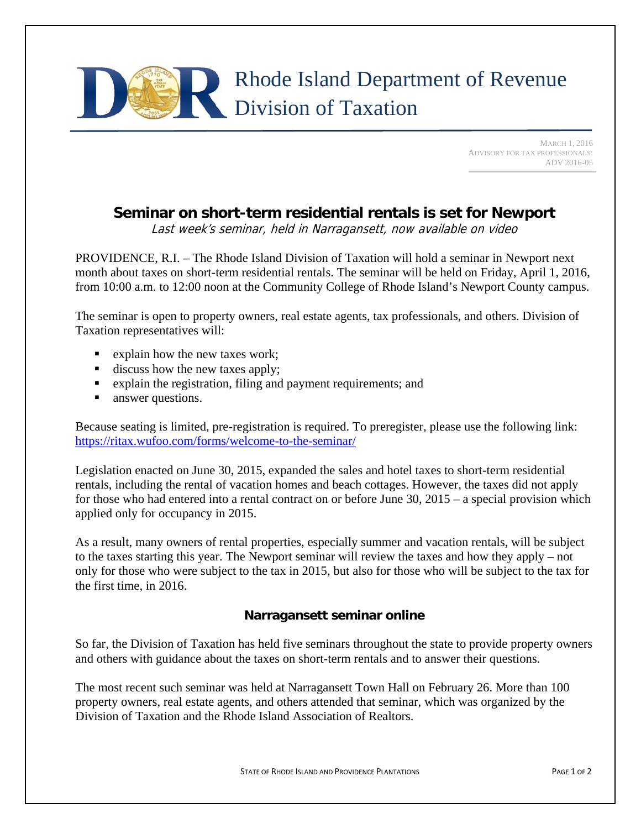

 MARCH 1, 2016 ADVISORY FOR TAX PROFESSIONALS: ADV 2016-05

## **Seminar on short-term residential rentals is set for Newport**

Last week's seminar, held in Narragansett, now available on video

PROVIDENCE, R.I. – The Rhode Island Division of Taxation will hold a seminar in Newport next month about taxes on short-term residential rentals. The seminar will be held on Friday, April 1, 2016, from 10:00 a.m. to 12:00 noon at the Community College of Rhode Island's Newport County campus.

The seminar is open to property owners, real estate agents, tax professionals, and others. Division of Taxation representatives will:

- Explain how the new taxes work;
- $\blacksquare$  discuss how the new taxes apply;
- **Explain the registration, filing and payment requirements; and**
- **answer questions.**

Because seating is limited, pre-registration is required. To preregister, please use the following link: https://ritax.wufoo.com/forms/welcome-to-the-seminar/

Legislation enacted on June 30, 2015, expanded the sales and hotel taxes to short-term residential rentals, including the rental of vacation homes and beach cottages. However, the taxes did not apply for those who had entered into a rental contract on or before June 30, 2015 – a special provision which applied only for occupancy in 2015.

As a result, many owners of rental properties, especially summer and vacation rentals, will be subject to the taxes starting this year. The Newport seminar will review the taxes and how they apply – not only for those who were subject to the tax in 2015, but also for those who will be subject to the tax for the first time, in 2016.

## **Narragansett seminar online**

So far, the Division of Taxation has held five seminars throughout the state to provide property owners and others with guidance about the taxes on short-term rentals and to answer their questions.

The most recent such seminar was held at Narragansett Town Hall on February 26. More than 100 property owners, real estate agents, and others attended that seminar, which was organized by the Division of Taxation and the Rhode Island Association of Realtors.